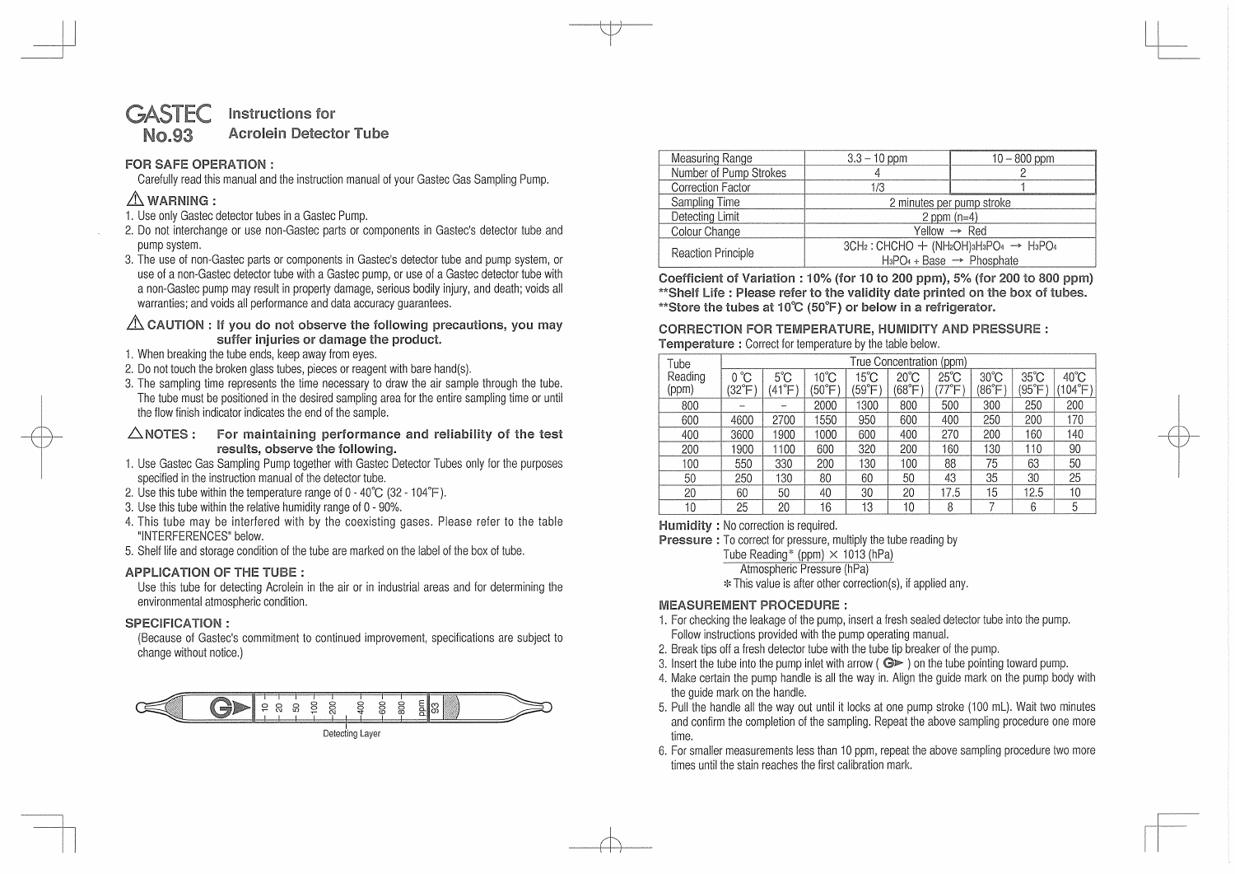#### **STEC No.93**  Instructions **for Acrolein Detector Tube**

# FOR SAFE **OPERATION** :

Carefully read this manual and the instruction manual of your Gastec Gas Sampling Pump.

# **&WARNING:**

- 1. Use only Gastec detector tubes in a Gastec Pump.
- 2. Do not interchange or use non-Gastec parts or components in Gastec's detector tube and pump system.
- 3. The use of non-Gastec parts or components in Gastec's detector tube and pump system, or use of a non-Gastec detector tube with a Gastec pump, or use of a Gastec detector tube with a non-Gastec pump may result in property damage, serious bodily injury, and death; voids all warranties: and voids all performance and data accuracy quarantees.

## &. **CAUTION** : **If you do not** observe the **following precautions,** you may **suffer injuries or damage** the **product.**

- 1. When breaking the tube ends, keep away from eyes.
- 2. Do not touch the broken glass tubes, pieces or reagent with bare hand(s).
- 3. The sampling time represents the time necessary to draw the air sample through the tube. The tube must be positioned in the desired sampling area for the entire sampling time or until the flow finish indicator indicates the end of the sample.
- **.6..NOTES** : For **maintaining performance** and **reliability** of the test results, observe the following.
- 1. Use Gastec Gas Sampling Pump together with Gastec Detector Tubes only for the purposes specified in the instruction manual of the detector tube.
- 2. Use this tube within the temperature range of  $0 40^{\circ}$ C (32 104 $^{\circ}$ F).
- 3. Use this tube within the relative humidity range of O 90%.
- 4. This tube may be interfered with by the coexisting gases. Please refer to the table "INTERFERENCES" below.
- 5. Shelf life and storage condition of the tube are marked on the label of the box of tube.

# APPLICATION **OF** THE **TUBE** :

Use this tube for detecting Acrolein in the air or in industrial areas and for determining the environmental atmospheric condition.

# SPECIFICATION :

(Because of Gastec's commitment to continued improvement, specifications are subject to change without notice.)



| Measuring Range           | $3.3 - 10$ ppm                                                                                | $10 - 800$ ppm |  |  |  |
|---------------------------|-----------------------------------------------------------------------------------------------|----------------|--|--|--|
| Number of Pump Strokes    |                                                                                               |                |  |  |  |
| Correction Factor         | 1/3                                                                                           |                |  |  |  |
| Sampling Time             | 2 minutes per pump stroke                                                                     |                |  |  |  |
| Detecting Limit           | 2 ppm $(n=4)$                                                                                 |                |  |  |  |
| Colour Change             | Yellow $\rightarrow$ Red                                                                      |                |  |  |  |
| <b>Reaction Principle</b> | $3CH_2$ : CHCHO + (NH2OH)3H3PO4 $\rightarrow$ H3PO4<br>$H_3PO_4 + Base \rightarrow Phosphate$ |                |  |  |  |

Coefficient of Variation : 10% **(for** 10 to 200 **ppm), 5% (for 200 to 800 ppm)**  \*\*Shelf Life : Please refer to the **validity** date **printed on the box of tubes.**  \*\*Store the tubes **at 10°C (50°F)** or below in **a refrigerator.** 

### **CORRECTION** FOR TEMPERATURE, HUMIDITY **AND PRESSURE** : **Temperature** : Correct for temperature by the table below.

| Tube             | True Concentration (ppm) |                           |                         |              |                         |                         |                          |                         |                                    |
|------------------|--------------------------|---------------------------|-------------------------|--------------|-------------------------|-------------------------|--------------------------|-------------------------|------------------------------------|
| Reading<br>(ppm) | °C<br>U<br>(32°F         | $5^{\circ}$ C<br>°F<br>41 | $10^{\circ}$ C<br>150°F | 15°C<br>59°F | $20^{\circ}$ C<br>(68°F | $25^{\circ}$ C<br>177°F | $30^{\circ}$ C<br>(86°F) | $35^{\circ}$ C<br>(95°F | $40^{\circ}$ C<br>$104^{\circ}$ F) |
| 800              |                          |                           | 2000                    | 1300         | 800                     | 500                     | 300                      | 250                     | 200                                |
| 600              | 4600                     | 2700                      | 1550                    | 950          | 600                     | 400                     | 250                      | 200                     | 170                                |
| 400              | 3600                     | 1900                      | 1000                    | 600          | 400                     | 270                     | 200                      | 160                     | 140                                |
| 200              | 1900                     | 1100                      | 600                     | 320          | 200                     | 160                     | 130                      | 110                     | 90                                 |
| 100              | 550                      | 330                       | 200                     | 130          | 100                     | 88                      | 75                       | 63                      | 50                                 |
| 50               | 250                      | 130                       | 80                      | 60           | 50                      | 43                      | 35                       | 30                      | 25                                 |
| 20               | 60                       | 50                        | 40                      | 30           | 20                      | 17.5                    | 15                       | 12.5                    | 10                                 |
| 10               | 25                       | 20                        | 16                      | 13           | 10                      | 8                       |                          | 6                       | 5                                  |

**Humidity** : No correction is required.

Pressure : To correct for pressure, multiply the tube reading by

Tube Reading\* (ppm)  $\times$  1013 (hPa)

Atmospheric Pressure (hPa)

\* This value is after other correction(s), if applied any.

# MEASUREMENT **PROCEDURE:**

- 1. For checking the leakage of the pump, insert a fresh sealed detector tube into the pump. Follow instructions provided with the pump operating manual.
- 2. Break tips off a fresh detector tube with the tube tip breaker of the pump.
- 3. Insert the tube into the pump inlet with arrow ( $\bigcirc$  ) on the tube pointing toward pump.
- 4. Make certain the pump handle is all the way in. Align the guide mark on the pump body with the guide mark on the handle.
- 5. Pull the handle all the way out until it locks at one pump stroke (100 ml). Wait two minutes and confirm the completion of the sampling. Repeat the above sampling procedure one more time.
- 6. For smaller measurements less than 10 ppm, repeat the above sampling procedure two more times until the stain reaches the first calibration mark.